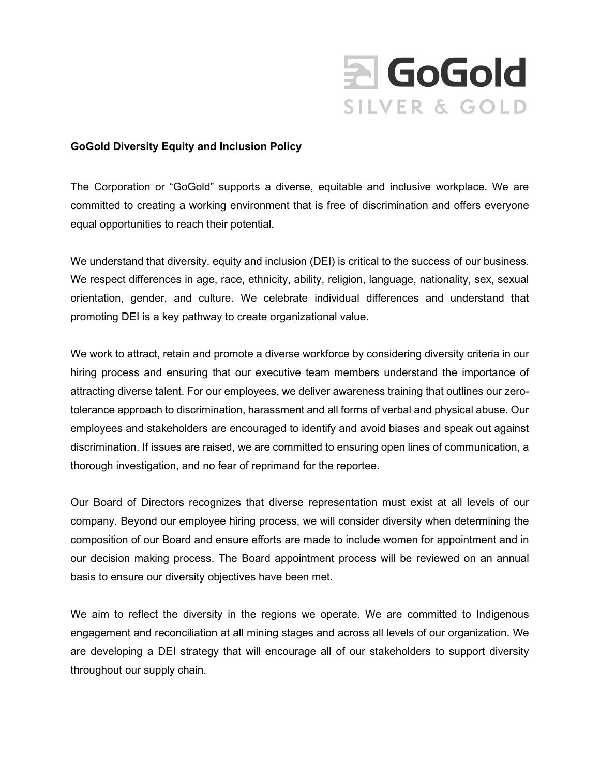

## **GoGold Diversity Equity and Inclusion Policy**

The Corporation or "GoGold" supports a diverse, equitable and inclusive workplace. We are committed to creating a working environment that is free of discrimination and offers everyone equal opportunities to reach their potential.

We understand that diversity, equity and inclusion (DEI) is critical to the success of our business. We respect differences in age, race, ethnicity, ability, religion, language, nationality, sex, sexual orientation, gender, and culture. We celebrate individual differences and understand that promoting DEI is a key pathway to create organizational value.

We work to attract, retain and promote a diverse workforce by considering diversity criteria in our hiring process and ensuring that our executive team members understand the importance of attracting diverse talent. For our employees, we deliver awareness training that outlines our zerotolerance approach to discrimination, harassment and all forms of verbal and physical abuse. Our employees and stakeholders are encouraged to identify and avoid biases and speak out against discrimination. If issues are raised, we are committed to ensuring open lines of communication, a thorough investigation, and no fear of reprimand for the reportee.

Our Board of Directors recognizes that diverse representation must exist at all levels of our company. Beyond our employee hiring process, we will consider diversity when determining the composition of our Board and ensure efforts are made to include women for appointment and in our decision making process. The Board appointment process will be reviewed on an annual basis to ensure our diversity objectives have been met.

We aim to reflect the diversity in the regions we operate. We are committed to Indigenous engagement and reconciliation at all mining stages and across all levels of our organization. We are developing a DEI strategy that will encourage all of our stakeholders to support diversity throughout our supply chain.